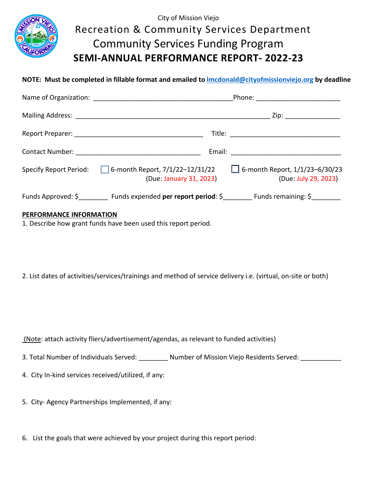

## City of Mission Viejo Recreation & Community Services Department Community Services Funding Program **SEMI-ANNUAL PERFORMANCE REPORT- 2022-23**

**NOTE: Must be completed in fillable format and emailed to [lmcdonald@cityofmissionviejo.org](mailto:lmcdonald@cityofmissionviejo.org) by deadline**

| Phone: ____________________________                                                      |                                                               |  |
|------------------------------------------------------------------------------------------|---------------------------------------------------------------|--|
|                                                                                          | Zip: __________________                                       |  |
|                                                                                          |                                                               |  |
|                                                                                          |                                                               |  |
| Specify Report Period: $\Box$ 6-month Report, 7/1/22-12/31/22<br>(Due: January 31, 2023) | $\Box$ 6-month Report, 1/1/23-6/30/23<br>(Due: July 29, 2023) |  |
| Funds Approved: \$ Funds expended per report period: \$ Funds remaining: \$              |                                                               |  |

## **PERFORMANCE INFORMATION**

1. Describe how grant funds have been used this report period.

2. List dates of activities/services/trainings and method of service delivery i.e. (virtual, on-site or both)

(Note: attach activity fliers/advertisement/agendas, as relevant to funded activities)

- 3. Total Number of Individuals Served: \_\_\_\_\_\_\_\_\_ Number of Mission Viejo Residents Served: \_\_\_\_\_\_\_\_
- 4. City In-kind services received/utilized, if any:
- 5. City- Agency Partnerships Implemented, if any:
- 6. List the goals that were achieved by your project during this report period: